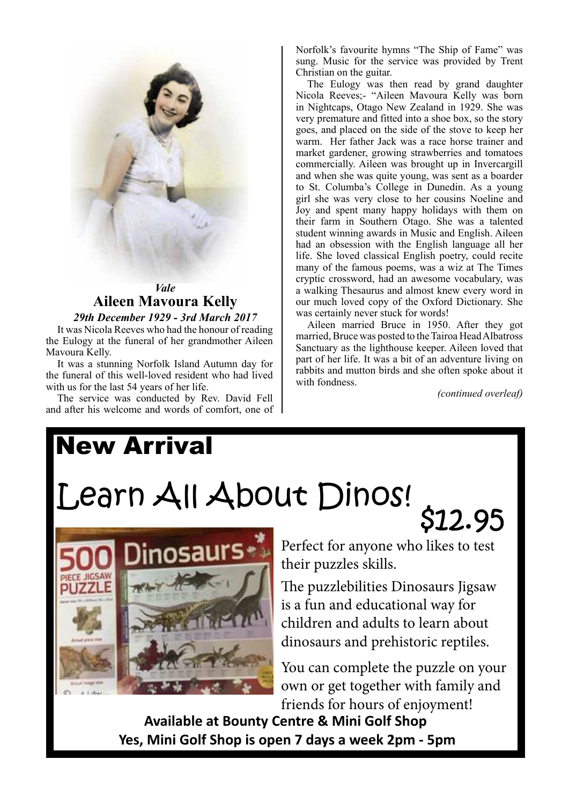

## *Vale* **Aileen Mavoura Kelly**

### *29th December 1929 - 3rd March 2017*

It was Nicola Reeves who had the honour of reading the Eulogy at the funeral of her grandmother Aileen Mavoura Kelly.

It was a stunning Norfolk Island Autumn day for the funeral of this well-loved resident who had lived with us for the last 54 years of her life.

The service was conducted by Rev. David Fell and after his welcome and words of comfort, one of Norfolk's favourite hymns "The Ship of Fame" was sung. Music for the service was provided by Trent Christian on the guitar.

The Eulogy was then read by grand daughter Nicola Reeves;- "Aileen Mavoura Kelly was born in Nightcaps, Otago New Zealand in 1929. She was very premature and fitted into a shoe box, so the story goes, and placed on the side of the stove to keep her warm. Her father Jack was a race horse trainer and market gardener, growing strawberries and tomatoes commercially. Aileen was brought up in Invercargill and when she was quite young, was sent as a boarder to St. Columba's College in Dunedin. As a young girl she was very close to her cousins Noeline and Joy and spent many happy holidays with them on their farm in Southern Otago. She was a talented student winning awards in Music and English. Aileen had an obsession with the English language all her life. She loved classical English poetry, could recite many of the famous poems, was a wiz at The Times cryptic crossword, had an awesome vocabulary, was a walking Thesaurus and almost knew every word in our much loved copy of the Oxford Dictionary. She was certainly never stuck for words!

Aileen married Bruce in 1950. After they got married, Bruce was posted to the Tairoa Head Albatross Sanctuary as the lighthouse keeper. Aileen loved that part of her life. It was a bit of an adventure living on rabbits and mutton birds and she often spoke about it with fondness.

*(continued overleaf)*

# New Arrival Learn All About Dinos! \$12.95



Perfect for anyone who likes to test their puzzles skills.

The puzzlebilities Dinosaurs Jigsaw is a fun and educational way for children and adults to learn about dinosaurs and prehistoric reptiles.

You can complete the puzzle on your own or get together with family and friends for hours of enjoyment!

**Available at Bounty Centre & Mini Golf Shop Yes, Mini Golf Shop is open 7 days a week 2pm - 5pm**